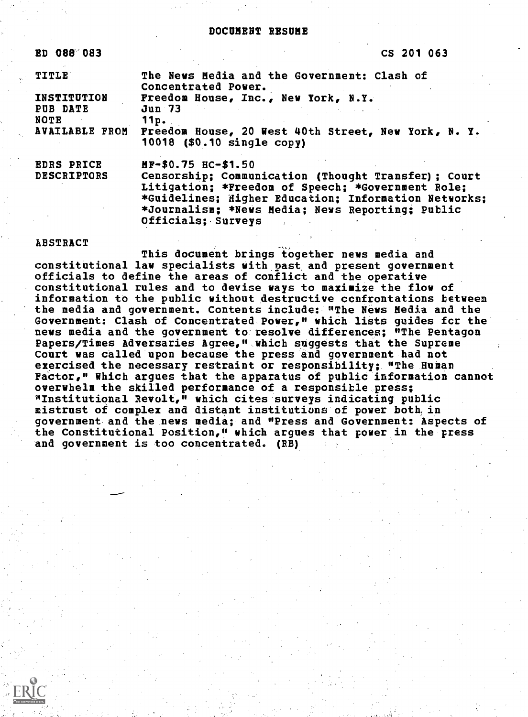| <b>ED 088 083</b>     | CS 201 063                                                                                               |
|-----------------------|----------------------------------------------------------------------------------------------------------|
| <b>TITLE</b>          | The News Media and the Government: Clash of<br>Concentrated Power.                                       |
| INSTITUTION           | Freedom House, Inc., New York, N.Y.                                                                      |
| PUB DATE              | <b>Jun 73</b>                                                                                            |
| <b>NOTE</b>           | 11p.                                                                                                     |
| <b>AVAILABLE FROM</b> | Freedom House, 20 West 40th Street, New York, N. Y.<br>10018 (\$0.10 single copy)                        |
| <b>EDRS PRICE</b>     | MF-\$0.75 HC-\$1.50                                                                                      |
| <b>DESCRIPTORS</b>    | Censorship; Communication (Thought Transfer); Court<br>Litigation; *Freedom of Speech; *Government Role; |

Officials; Surveys

\*Guidelines; digher Education; Information Networks; \*Journalism; \*News Media; News Reporting; Public

ABSTRACT

This document brings together news media and constitutional law specialists with past and present government officials to define the areas of conflict and the operative constitutional rules and to devise ways to maximize the flow of information to the public without destructive ccnfrontations between the media and government. Contents include: "The News Media and the Government: Clash of Concentrated Power," which lists guides fcr the' news media and the government to resolve differences; "The Pentagon Papers/Times Adversaries Agree," which suggests that the Supreme Court was called upon because the press and government had not exercised the necessary restraint or responsibility; "The Human Factor," Which argues that the apparatus of public information cannot overwhelm the skilled performance of a responsible press; "Institutional Revolt," which cites surveys indicating public mistrust of complex and distant institutions of power both in government and the news media; and "Press and Government: Aspects of the Constitutional Position," which argues that power in the press and government is too concentrated. (RB)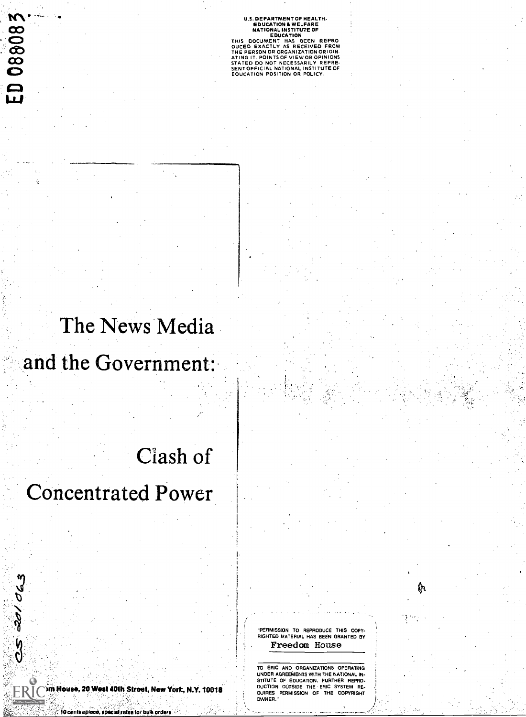U.S. DEPARTMENT OF HEALTH,<br>
EDUCATION & WELFARE<br>
NATIONAL INSTITUTE OF<br>
EDUCATION ANTITUTE OF<br>
EDUCATION AND RESON OF RESPRODUCED EXACTLY AS RECEIVED FROM<br>
DICED EXACTLY AS RECEIVED FROM<br>
ATING IT. POINTS OF VIEW OR OPINIO

The News Media and the Government:

**ED 088083** 

C.S 201063

# Clash of Concentrated Power

"PERMISSION TO REPRODUCE THIS COPY. RIGHTED MATERIAL HAS BEEN GRANTED BY Freedom House

हिर

TO ERIC AND ORGANIZATIONS OPERATING UNDER AGREEMENTS WITH THE NATIONAL IN-<br>STITUTE OF EDUCATION. FURTHER REPRO.<br>DUCTION OUTSIDE THE ERIC SYSTEM RE-QUIRES PERMISSION OF THE COPYRIGHT OWNER."

Freedern House, 20 West 40th Street, New York, N.Y. 10018

10 cents apiece, special rates for bulk orders.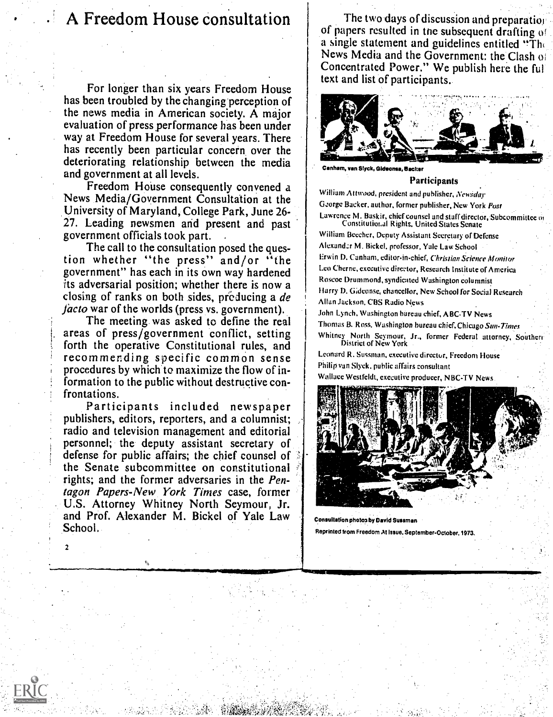## A Freedom House consultation

For longer than six years Freedom House has been troubled by the changing perception of the news media in American society. A major evaluation of press performance has been under way at Freedom House for several years. There has recently been particular concern over the deteriorating relationship between the media and government at all levels.

Freedom House consequently convened a News Media/Government Consultation at the University of Maryland, College Park, June 26- 27. Leading newsmen and present and past government officials took part.<br>The call to the consultation posed the ques-

tion whether "the press" and/or "the government" has each in its own way hardened its adversarial position; whether there is now a closing of ranks on both sides, preducing a  $de$ *facto* war of the worlds (press vs. government).

The meeting was asked to define the real areas of press/government conflict, setting whitney North Seymour,<br>forth the operative Constitutional rules and District of New York forth the operative Constitutional rules, and recommending specific common sense procedures by which to maximize the flow of information to the public without destructive confrontations.

Participants included newspaper publishers, editors, reporters, and a columnist; radio and television management and editorial personnel; the deputy assistant secretary of defense for public affairs; the chief counsel of the Senate subcommittee on constitutional rights; and the former adversaries in the Pentagon Papers-New York Times case, former U.S. Attorney Whitney North Seymour, Jr. and Prof. Alexander M. Bickel of Yale Law School.

The two days of discussion and preparation of papers resulted in the subsequent drafting of a single statement and guidelines entitled "The News Media and the Government: the Clash of Concentrated Power." We publish here the ful text and list of participants.



Canham, van Styck, Gideonsa, Backer

### Participants

William Attwood, president and publisher, Newsday George Backer. author, former publisher, Ncw York Post Lawrence M. Baskir, chief counsel and staff director, Subcommittee or Constitutional Rights. United States Senate

William Beecher, Deputy Assistant Secretary of Defense Alexander M. Bickel, professor, Yale Law School Erwin D. Canham, editor-in-chief, Chrislinn Science Af oniior Leo Cherne, executive director, Research Institute of America Roscoe Drummond, syndicated Washington columnist Harry D. Gidconse, chancellor, New School for Social Research Allan Jackson. CBS Radio News

John Lynch, Washington bureau chief, ABC-TV News

Thomas B. Ross, Washington bureau chief, Chicago Sun-Times Whitney North Seymour, Jr., former Federal attorney, Southeri-

Leonard R. Sussman, executive director, Freedom House Philip van Slyck. public affairs consultant Wallace Westfeldt, executive producer, NBC-TV News



Consultation photon by David Sussman Reprinted 1rom Freedom Al Issue, September-October. 1973.



2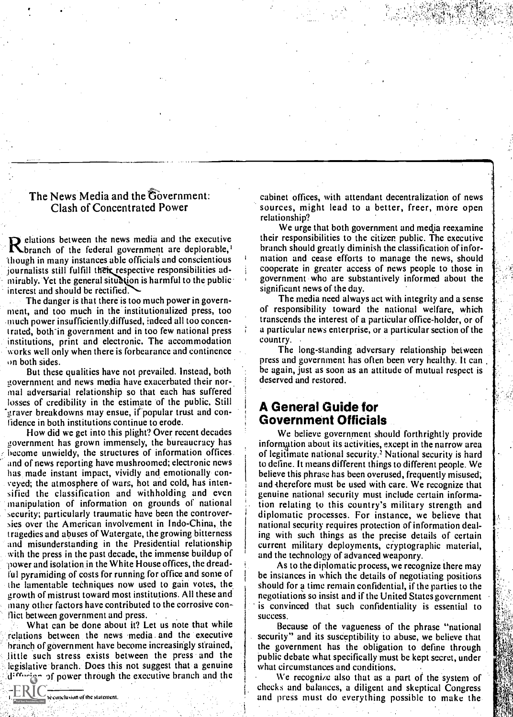## The News Media and the Government: Clash of Concentrated Power

elations between the news media and the executive IN-branch of the federal government are deplorable,' though in many instances able officials and conscientious journalists still fulfill their respective responsibilities admirably. Yet the general situation is harmful to the public interest and should be rectified.

The danger is that there is too much power in government, and too much in the institutionalized press, too much power insufficiently.diffused, indeed all too concentrated, both-in government and in too few national press institutions, print and electronic. The accommodation works well only when there is forbearance and continence on both sides.

But these qualities have not prevailed. Instead, both government and news media have exacerbated their normal adversarial relationship so that each has suffered losses of credibility in the estimate of the public. Still 'graver breakdowns may ensue, if-popular trust and confidence in both institutions continue to erode.

How did we get into this plight? Over recent decades government has grown immensely, the bureaucracy has become unwieldy, the structures of information offices and of news reporting have mushroomed; electronic news has made instant impact, vividly and emotionally conveyed; the atmosphere of wars, hot and cold, has intensified the classification and withholding and even manipulation of information on grounds of national security; particularly traumatic have been the controversies over the American involvement in Indo-China, the tragedies and abuses of Watergate, the growing bitterness and misunderstanding in the Presidential relationship with the press in the past decade, the immense buildup of power and isolation in the White House offices, the dreadful pyramiding of costs for running for office and some of the lamentable techniques now used to gain votes, the growth of mistrust toward most institutions. All these and many other factors have contributed to the corrosive conflict between government and press.

What can be done about it? Let us note that while relations between the news media and the executive branch of government have become increasingly strained, little such stress exists between the press and the legislative branch. Does this not suggest that a genuine diffusion of power through the executive branch and the

cabinet offices, with attendant decentralization of news sources, might lead to a better, freer, more open relationship?

We urge that both government and media reexamine their responsibilities to the citizen public. The executive branch should greatly diminish the classification of information and cease efforts to manage the news, should cooperate in greater access of news people to those in government who are substantively informed about the significant news of the day.

The media need always act with integrity and a sense of responsibility toward the national welfare, which transcends the interest of a particular office-holder, or of a particular news enterprise, or a particular section of the country.

The long-standing adversary relationship between press and government has often been very healthy. It can be again, just as soon as an attitude of mutual respect is deserved and restored.

## A General Guide for Government Officials

We believe government should forthrightly provide information about its activities, except in the narrow area of legitimate national security.' National security is hard to define. It means different things to different people. We believe this phrase has been overused, frequently misused; and therefore must be used with care. We recognize that genuine national security must include certain information relating to this country's military strength and diplomatic processes. For instance, we believe that national security requires protection of information dealing with such things as the precise details of certain current military deployments, cryptographic material, and the technology of advanced weaponry.

As to the diplomatic process, we recognize there may be instances in which the details of negotiating positions should for a time remain confidential, if the parties to the negotiations so insist and if the United States government is convinced that such confidentiality is essential to success.

Because of the vagueness of the phrase "national security" and its susceptibility to abuse, we believe that the government has the obligation to define through public debate what specifically must be kept secret, under what circumstances and conditions.

We recognize also that as a part of the system of checks and balances, a diligent and skeptical Congress and press must do everything possible to make the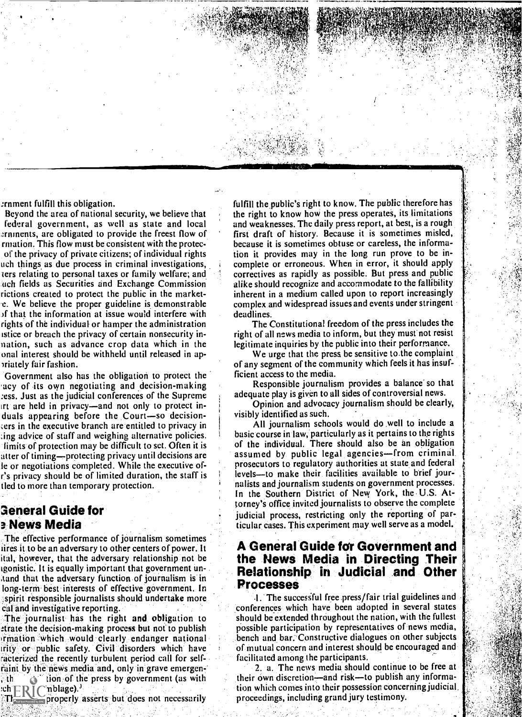:rnment fulfill this obligation.

Beyond the area of national security, we believe that federal government, as well as state and local ,:rnments, are obligated to provide the freest flow of rmation. This flow must be consistent with the protecof the privacy of private citizens; of individual rights uch things as due process in criminal investigations, ters relating to personal taxes or family welfare; and uch fields as Securities and Exchange Commission rictions created to protect the public in the markete. We believe the proper guideline is demonstrable )f that the information at issue would interfere with rights of the individual or hamper the administration istice or breach the privacy of certain nonsecurity innation, such as advance crop data which in the onal interest should be withheld until released in apiriately fair fashion.

Government also has the obligation to protect the acy of its own negotiating and decision-making :ess. Just as the judicial conferences of the Supreme irt are held in privacy—and not only to protect induals appearing before the Court-so decisioners in the executive branch are entitled to privacy in :ing advice of staff and weighing alternative policies. limits of protection may be difficult to set. Often it is atter of timing—protecting privacy until decisions are le or negotiations completed. While the executive ofr's privacy should be of limited duration, the staff is tied to more than temporary protection.

## 3eneral Guide for 3 News Media

The effective performance of journalism sometimes iires it to be an adversary to other centers of power. It ital, however, that the adversary relationship not be igonistic. It is equally important that government un long-term best interests of effective government. In spirit responsible journalists should undertake more cal and investigative reporting.

The journalist has the right and obligation to :trate the decision-making process but not to publish Irmation which would clearly endanger national trity or public safety. Civil disorders which have racterized the recently turbulent period call for selfraint by the news media and, only in grave emergen

the  $\tau$  restriction of the press by government (as with  $\mathbb{R}^n$ ERIC<sup>nblage).3</sup>

The **properly** asserts but does not necessarily

fulfill the public's right to know. The public therefore has the right to know how the press operates, its limitations and weaknesses. The daily press report, at best, is a rough first draft of history. Because it is sometimes misled, because it is sometimes obtuse or careless, the information it provides may in the long run prove to be incomplete or erroneous. When in error, it should apply correctives as rapidly as possible. But press and public alike should recognize and accommodate to the fallibility inherent in a medium called upon to report increasingly complex and widespread issues and events under stringent deadlines.

The Constitutional freedom of the press includes the right of all news media to inform, but they must not resist legitimate inquiries by the public into their performance.

We urge that the press be sensitive to.the complaint of any segment of the community which feels it has insufficient access to the media.

Responsible journalism provides a balance' so that adequate play is given to all sides of controversial news.

Opinion and advocacy journalism should be clearly, visibly identified as such.

All journalism schools would do well to include a basic course in law, particularly as it pertains to the rights of the individual. There should also be an obligation assumed by public legal agencies—from criminal prosecutors to regulatory authorities at state and federal levels-to make their facilities available to brief journalists and journalism students on government processes. In the Southern District of New York, the U.S. Attorney's office invited journalists to observe the complete judicial process, restricting only the reporting of particular cases. This experiment may well serve as a model.

## gonistic. It is equally important that government un-<br>Relationship in Judicial and Other A General Guide for Government and the News Media in Directing Their Processes

.1. The successful free press/fair trial guidelines and conferences which have been adopted in several states should be extended throughout the nation, with the fullest possible participation by representatives of news media, bench and bar. Constructive dialogues on other subjects of mutual concern and interest should be encouraged and facilitated among the participants.

2. a. The news media should continue to be free at their own discretion—and risk—to publish any information which comes into their possession concerning judicial, proceedings, including grand jury testimony.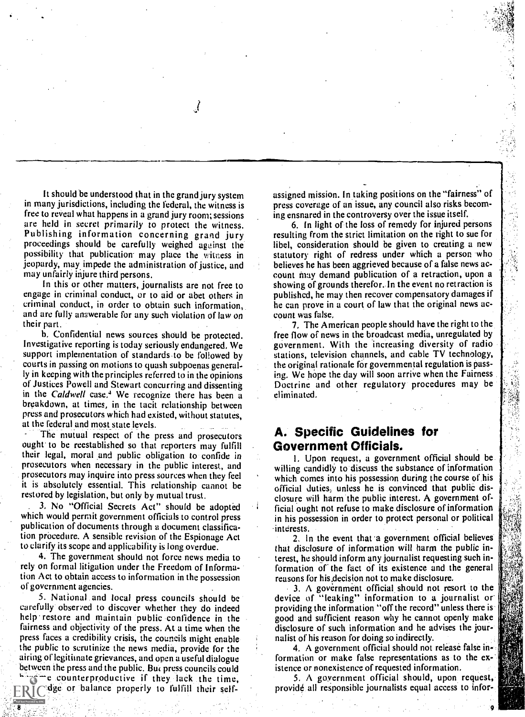It should be understood that in the grand jury system in many jurisdictions, including the federal, the witness is free to reveal what happens in a grand jury room; sessions are held in secret primarily to protect the witness. Publishing information concerning grand jury proceedings should be carefully weighed against the possibility that publication- may place the witness in jeopardy, may impede the administration of justice, and may unfairly injure third persons.

In this or other matters, journalists are not free to engage in criminal conduct, or to aid or abet others in criminal conduct, in order to obtain such information, and are fully answerable for any such violation of law on their part.

b. Confidential news sources should be protected. Investigative reporting is today seriously endangered. We support implementation of standards to be followed by courts in passing on motions to quash subpoenas generally in keeping with the principles referred to in the opinions of Justices Powell and Stewart concurring and dissenting in the Caldwell case.<sup>4</sup> We recognize there has been a breakdown, at times, in the tacit relationship between press and prosecutors which had existed, without statutes, at the federal and most state levels.

The mutual respect of the press and prosecutors ought to be reestablished so that reporters may fulfill their legal, moral and public obligation to confide in prosecutors when necessary in the public interest, and prosecutors may inquire into press sources when they feel it is absolutely essential. This relationship cannot be restored by legislation, but only by mutual trust.

3. No "Official Secrets Act" should be adopted which would permit government officials to control press publication of documents through a document classification procedure. A sensible revision of the Espionage Act to clarify its scope and applicability is long overdue.

4. The government should not force news media to rely on formal litigation under the Freedom of Information Act to obtain access to information in the possession of government agencies.

5. National and local press councils should be carefully observed to discover whether they do indeed help restore and maintain public confidence in the fairness and objectivity of the press. At a time when the press faces a credibility crisis, the councils might enable the public to scrutinize the news media, provide for the airing of legitimate grievances, and open a useful dialogue between the press and the public. But press councils could  $\mathbf{s}$ <sup>the</sup> counterproductive if they lack the time, dge or balance properly to fulfill their selfassigned mission. In taking positions on the "fairness" of press coverage of an issue, any council also risks becoming ensnared in the controversy over the issue itself.

6. In light of the loss of remedy for injured persons resulting from the strict limitation on the right to sue for libel, consideration should be given to creating a new statutory right of redress under which a person who believes he has been aggrieved because of a false news account may demand publication of a retraction, upon a showing of grounds therefor. In the event no retraction is published, he may then recover compensatory damages if he can prove in a court of law that the original news account was false.

7. The American people should have the right to the free flow of news in the broadcast media, unregulated by government. With the increasing diversity of radio stations, television channels, and cable TV technology, the original rationale for governmental regulation is passing. We hope the day will soon arrive when the Fairness Doctrine and other regulatory procedures may be eliminated.

## A. Specific Guidelines for Government Officials.

I. Upon request, a government official should be willing candidly to discuss the substance of information which comes into his possession during the course of his official duties, unless he is convinced that public disclosure will harm the public interest. A government official ought not refuse to make disclosure of information in his possession in order to protect personal or political 'interests.

2. In the event that a government official believes that disclosure of information will harm the public interest, he should inform any journalist requesting such information of the fact of its existence and the general reasons for his decision not to make disclosure.<br>3. A government official should not resort to the

device of "leaking" information to a journalist or providing the information "off the record" unless there is good and sufficient reason why he cannot openly make disclosure of such information and he advises the journalist of his reason for doing so indirectly.

4. A government official should not release false information or make false representations as to the existence or nonexistence of requested information.

5. A government official should, upon request, provide all responsible journalists equal access to infor-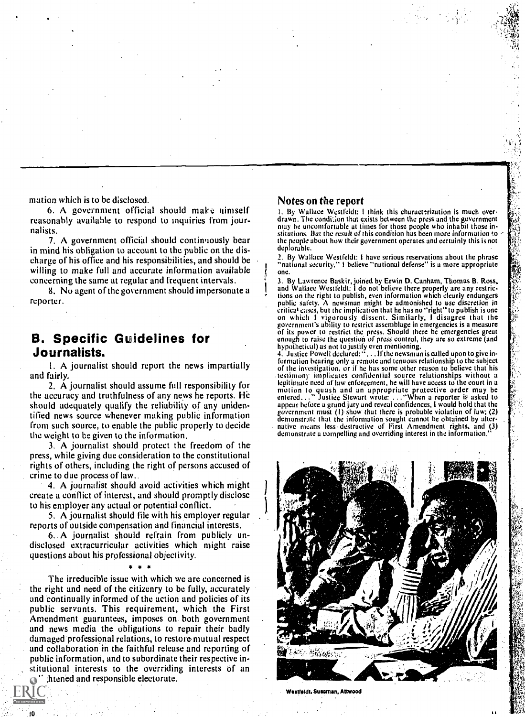nation which is to be disclosed.

6. A government official should make himself reasonably available to respond to inquiries from journalists.

7. A government official should continuously bear in mind his obligation to account to the public on the discharge of his office and his responsibilities, and should be willing to make full and accurate information available concerning the same at regular and frequent intervals.

8. No agent of the government should impersonate a reporter.

## B. Specific Guidelines for Journalists.

I. A journalist should report the news impartially and fairly.

the accuracy and truthfulness of any news he reports. He should adequately qualify the reliability of any unidentified news source whenever making public information from such source, to enable the public properly to decide the weight to be given to the information.

3. A journalist should protect the freedom of the press, while giving due consideration to the constitutional rights of others, including the right of persons accused of crime to due process of law..

4. A journalist should avoid activities which might create a conflict of interest, and should promptly disclose to his employer any actual or potential conflict.

5. A journalist should file with his employer regular reports of outside compensation and financial interests.

6.. A journalist should refrain from publicly undisclosed extracurricular activities which might raise questions about his professional objectivity.

The irreducible issue with which we are concerned is the right and need of the citizenry to be fully, accurately and continually informed of the action and policies of its public servants. This requirement, which the First Amendment guarantees, imposes on both government and news media the obligations to repair their badly damaged professional relations, to restore mutual respect and collaboration in the faithful release and reporting of public information, and to subordinate their respective institutional interests to the overriding interests of an  $\mathbb{Z}^n$  thened and responsible electorate.

## Notes on the report

1. By Wallace Westfeldt: I think this characterization is much overdrawn. The condition that exists between the press and the government may be uncomfortable at times for those people who inhabit those institutions. But the result of this condition has been more information to the people about how their government operates and certainly this is not deplorable.

2. By Wallace Westfeldt: I have serious reservations about the phrase "national security." I believe "national defense" is a more appropriate one.

3. By Lawrence Baskir, joined by Erwin D. Canham, Thomas B. Ross. and Wallace Westfeldt: I do not believe there properly are any restrictions on the right to publish, even information which clearly endangers public safety. A newsman might be admonished to use discretion in critical cases, but the implication that he has no "right" to publish is one on which <sup>I</sup> vigorously dissent. Similarly, I disagree that the government's ability to restrict assemblage in emergencies is a measure of its power to restrict the press. Should there he emergencies great enough to raise the question of press control, they are so extreme (and

 $2.$  A journalist should assume full responsibility for legitimate need of law enforcement, he will have access to the court in a hypothetical) as not to justify even mentioning. 4. Justice Powell declared: "... If the newsman is culled upon to give information hearing only a remote and tenuous relationship to the subject of the investigation, or if he has some other reason to believe that his . testimony implicates confidential source relationships without a legitimate need of law enforcement, he will have access to the court in a<br>motion to quash and an appropriate protective order may be  $\frac{1}{2}$ <br>entered..." Justice Stewart wrote:..."When a reporter is asked to  $\frac{1}{2}$ ... government must (1) show that there is probable violation of law; (2) demonstrate that the information sought cannot be obtained by alternative means less destructive of First Amendment rights, and (3) demonstrate a compelling and overriding interest in the information.



I I

Mi ttAt

Westifoldl, Sussman, Attwood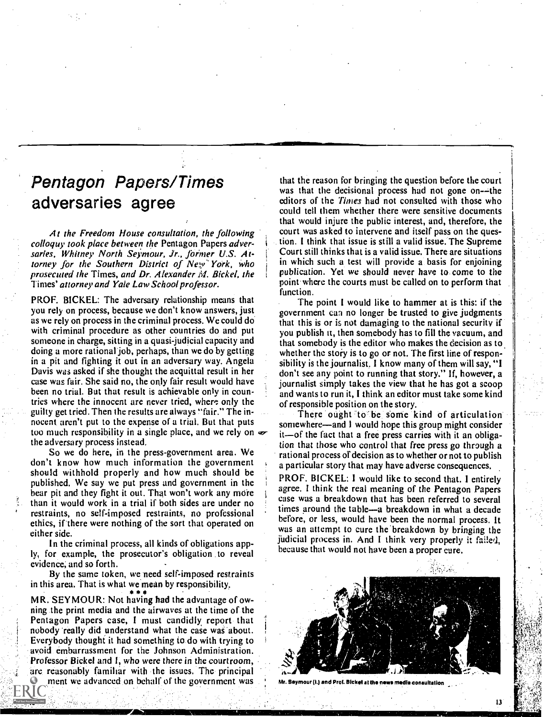## Pentagon Papers/Times adversaries agree

At the Freedom House consultation, the following colloquy took place between the Pentagon Papers adversaries. Whitney North Seymour, Jr., former U.S. Attorney for the Southern District of Nev` York, who prosecuted the Times, and Dr. Alexander M. Bickel, the Times' attorney and Yale Law School professor.

PROF. BICKEL: The adversary relationship means that you rely on process, because we don't know answers, just as we rely on process in the criminal process. We could do with criminal procedure as other countries do and put someone in charge, sitting in a quasi-judicial capacity and doing a more rational job, perhaps, than we do by getting in a pit and fighting it out in an adversary way. Angela Davis was asked if she thought the acquittal result in her case was fair. She said no, the only fair result would have been no trial. But that result is achievable only in countries where the innocent are never tried, where only the guilty get tried. Then the results are always "fair." The innocent aren't put to the expense of a trial. But that puts too much responsibility in a single place, and we rely on  $\infty$ the adversary process instead,

So we do here, in the press-government area. We don't know how much information the government should withhold properly and how much should be published. We say we put press and government in the bear pit and they fight it out. That won't work any more than it would work in a trial if both sides are under no restraints, no self-imposed restraints, no professional ethics, if 'there were nothing of the sort that operated on either side.

In the criminal process, all kinds of obligations apply, for example, the prosecutor's obligation to reveal evidence; and so forth.

By the same token, we need self-imposed restraints in this area. That is what we mean by responsibility.

MR. SEYMOUR: Not having had the advantage of owning the print media and the airwaves at the time of the Pentagon Papers case, I must candidly report that nobody 'really did understand what the case was about. Everybody thought it had something to do with trying to avoid embarrassment for the Johnson Administration. Professor Bickel and I, who were there in the courtroom, are reasonably familiar with the issues. The principal argument we advanced on behalf of the government was<br>RIC that the reason for bringing the question before the court was that the decisional process had not gone on--the editors of the Times had not consulted with those who could tell them whether there were sensitive documents that would injure the public interest, and, therefore, the court was asked to intervene and itself pass on the question. I think that issue is still a valid issue. The Supreme Court still thinks that is a valid issue. There are situations in which such a test will provide a basis for enjoining publication. Yet we should never have to come to the point where the courts must be called on to perform that function.

The point I would like to hammer at is this: if the government can no longer be trusted to give judgments that this is or is not damaging to the national security if you publish it, then somebody has to fill the vacuum, and that somebody is the editor who makes the decision as to whether the story is to go or not. The first line of responsibility is the journalist. I know many of them will say, "I don't see any point to running that story." If, however, a journalist simply takes the view that he has got a scoop and wants to run it, I think an editor must take some kind of responsible position on the story.

There ought to be some kind of articulation somewhere—and I would hope this group might consider it-of the fact that a free press carries with it an obligation that those who control that free press go through a rational process of decision as to whether or not to publish a particular story that may have adverse consequences.

PROF. BICKEL: I would like to second that. I entirely agree. I think the real meaning of the Pentagon Papers ease was a breakdown that has been referred to several times around the table—a breakdown in what a decade before, or less, would have been the normal process. It was an attempt to cure the 'breakdown by bringing the judicial process in. And I think very properly it failed, because that would not have been a proper cure.



13

Mr. Seymour (I.) and Prof. Bicket at the news media consultation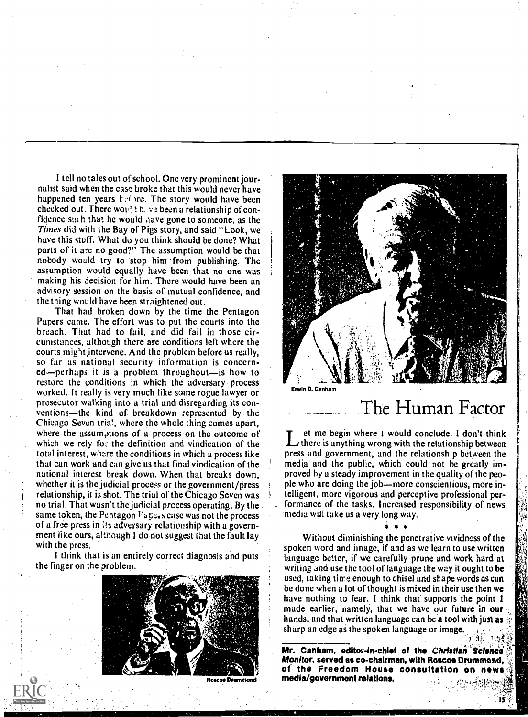I tell no tales out of school. One very prominent journalist said when the case broke that this would never have happened ten years briore. The story would have been checked out. There would have been a relationship of confidence sach that he would have gone to someone, as the Times did with the Bay of Pigs story, and said "Look, we have this stuff. What do you think should be done? What parts of it are no good?" The assumption would be that nobody would try to stop him from publishing. The assumption would equally have been that no one was making his decision for him. There would have been an advisory session on the basis of mutual confidence, and the thing would have been straightened out.

That had broken down by the time the Pentagon Papers came. The effort was to put the courts into the breach. That had to fail, and did fail in those circumstances, although there are conditions left where the courts might intervene. And the problem before us really, so far as national security information is concerned—perhaps it is a problem throughout—is how to restore the conditions in which the adversary process worked. It really is very much like some rogue lawyer or prosecutor walking into a trial and disregarding its conventions—the kind of breakdown represented by the Chicago Seven tria', where the whole thing comes apart, where the assumptions of a process on the outcome of which we rely for the definition and vindication of the total interest, wire the conditions in which a process like that can work and can give us that final vindication of the national interest break down. When that breaks down, whether it is the judicial process or the government/press relationship, it i3 shot. The trial of the Chicago Seven was no trial. That wasn't the judicial process operating. By the same token, the Pentagon  $P_4$ gers case was not the process of a free press in its adversary relationship with a government like ours, although I do not suggest that the fault lay with the press.

I think that is an entirely correct diagnosis and puts the finger on the problem.



Rosco**e Dru**m



## The Human Factor

\* \*

et me begin where I would conclude. I don't think L there is anything wrong with the relationship between press and government, and the relationship between the media and the public, which could not be greatly improved by a steady improvement in the quality of the people who are doing the job—more conscientious, more intelligent, more vigorous and perceptive professional performance of the tasks. Increased responsibility of news media will take us a very long way.

Without diminishing the penetrative vividness of the spoken word and image, if and as we learn to use written language better, if we carefully prune and work hard at writing and use the tool of language the way it ought to be used, taking time enough to chisel and shape words as can be done when a lot of thought is mixed in their use then we have nothing to fear. I think that supports the point I made earlier, namely, that we have our future in our hands, and that written language can be a tool with just as sharp an edge as the spoken language or image.

Mr. Canham, editor-in-chief of the Christian Science Monitor, served as co-chairman, with Roscoe Drummond, of the Freedom House consultation on news. media/government relations.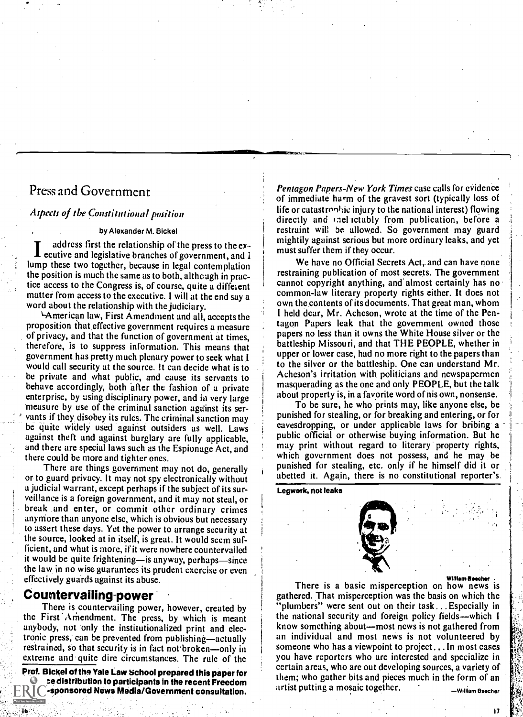## Press and Government

Aspects of the Constitutional position

#### by Alexander M. Bickel

address first the relationship of the press to the executive and legislative branches of government, and I lump these two together, because in legal contemplation the position is much the same as to both, although in practice access to the Congress is, of course, quite a different matter from access to the executive. I will at the end say a word about the relationship with the judiciary.

1-American law, First Amendment and all, accepts the proposition that effective government requires a measure of privacy, and that the function of government at times, therefore, is to suppress information. This means that government has pretty much plenary power to seek what I would call security at the source. It can decide what is to be private and what public, and cause its servants to behave accordingly, both after the fashion of a private enterprise, by using disciplinary power, and in very large 'measure by use of the criminal sanction against its servants if they disobey its rules. The criminal sanction may be quite widely used against outsiders as well. Laws against theft and against burglary are fully applicable, and there are special laws such as the Espionage Act, and there could be more and tighter ones.

There are things government may not do, generally or to guard privacy. It may not spy electronically without a judicial warrant, except perhaps if the subject of its surveillance is a foreign government, and it may not steal, or break and enter, or commit other ordinary crimes anymore than anyone else, which is obvious but necessary to assert these days. Yet the power to arrange security at the source, looked at in itself, is great. It would seem sufficient, and what is more, if it were nowhere countervailed it would be quite frightening—is anyway, perhaps—since the law in no wise guarantees its prudent exercise or even effectively guards against its abuse.

## Countervailing-power

ाठ

There is countervailing power, however, created by the First Amendment. The press, by which is meant anybody, not only the institutionalized print and electronic press, can be prevented from publishing—actually restrained, so that security is in fact not broken-only in extreme and quite dire circumstances. The rule of the

Prof. Bickel of the Yale Law School prepared this paper for te distribution to participants in the recent Freedom -sponsored News Media/Government consultation. Pentagon Papers-New York Times case calls for evidence of immediate harm of the gravest sort (typically loss of life or catastronhic injury to the national interest) flowing directly and inel ictably from publication, before a restraint will be allowed. So government may guard mightily against serious but more ordinary leaks, and yet must suffer them if they occur.

We have no Official Secrets Act, and can have none restraining publication of most secrets. The government cannot copyright anything, and'almost certainly has no common-law literary property rights either. It does not own the contents of its documents. That great man, whom I held dear, Mr. Acheson, wrote at the time of the Pentagon Papers leak that the government owned those papers no less than it owns the White House silver or the battleship Missouri, and that THE PEOPLE, whether in upper or lower case, had no more right to the papers than to the silver or the battleship. One can understand Mr. Acheson's irritation with politicians and newspapermen masquerading as the one and only PEOPLE, but the talk about property is, in a favorite word of nis own, nonsense.

To be sure, he who prints may, like anyone else, be punished for stealing, or for breaking and entering, or for eavesdropping, or under applicable laws for bribing a public official or otherwise buying information. But he may print without regard to literary property rights, which government does not possess, and he may be punished for stealing, etc. only if he himself did it or abetted it. Again, there is no constitutional reporter's.

Legwork, not leaks



William Boscher.<br>There is a basic misperception on how news is gathered. That misperception was the basis on which the "plumbers" were sent out on their task... Especially in the national security and foreign policy fields—which I know something about—most news is not gathered from an individual and most news is not volunteered by someone who has a viewpoint to project... In most cases you have reporters who are interested and specialize in certain areas, who are out developing sources, a variety of them; who gather bits and pieces much in the form of an artist putting a mosaic together. William Beecher

4:t;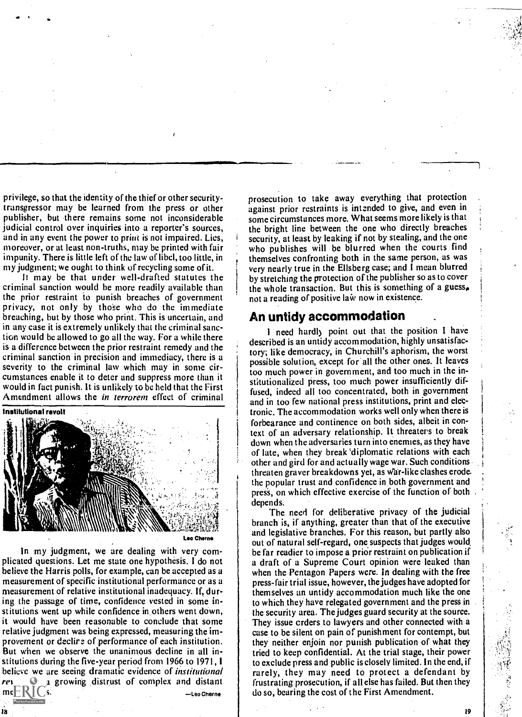privilege, so that the identity of the thief or other securitytransgressor may be learned from the press or other publisher, but there remains some not inconsiderable judicial control over inquiries into a reporter's sources, and in any event the power to print is not impaired. Lies, moreover, or at least non-truths, may be printed with fair impunity. There is little left of the law of libel, too little, in my judgment; we ought to think of recycling some of it.

It may be that under well-drafted statutes the criminal sanction would be more readily available than the prior restraint to punish breaches of government privacy, not only by those who do the immediate breaching, but by those who print. This is uncertain, and in any case it is extremely unlikely that the criminal sanction would be allowed to go all the way. For a while there is a difference between the prior restraint remedy and the criminal sanction in precision and immediacy, there is a severity to the criminal law which may in some circumstances enable it to deter and suppress more than it would in fact punish. It is unlikely to be held that the First Amendment allows the in terrorem effect of criminal



In my judgment, we are dealing with very complicated questions. Let me state one hypothesis. I do not believe the Harris polls, for example, can be accepted as a measurement of specific institutional performance or as a measurement of relative institutional inadequacy. If, during the passage of time, confidence vested in some institutions went up while confidence in others went down, it would have been reasonable to conclude that some relative judgment was being expressed, measuring the improvement or decline of performance of each institution. But when we observe the unanimous decline in all institutions during the five-year period from 1966 to 1971, 1 believe we are seeing dramatic evidence of *institutional* a growing distrust of complex and distant  $meE[C_s.$   $\qquad \qquad -\text{Leo Cherno}$ 

ia di Santa Ba

prosecution to take away everything that protection against prior restraints is intended to give, and even in some circumstances more. What seems more likely is that the bright line between the one who directly breaches security, at least by leaking if not by stealing, and the one who publishes will be blurred when the courts find themselves confronting both in the same person, as was very nearly true in the Ellsberg case; and I mean blurred by stretching the protection of the publisher so as to cover the whole transaction. But this is something of a guess, not a reading of positive law now in existence.

## An untidy accommodation

<sup>I</sup> need hardly point out that the position I have described is an untidy accommodation, highly unsatisfactory; like democracy, in Churchill's aphorism, the worst possible solution, except for all the other ones. It leaves too much power in government, and too much in the institutionalized press, too much power insufficiently diffused, indeed all too concentrated, both in government and in too few national press institutions, print and electronic. The accommodation works well only when there is forbearance and continence on both sides, albeit in context of an adversary relationship. It threaters to break down when the adversaries turn into enemies, as they have of late, when they break 'diplomatic relations with each other and gird for and actually wage war. Such conditions threaten graver breakdowns yet, as War-like clashes erode. the popular trust and confidence in both government and press, on which effective exercise of the function of both depends.

The need for deliberative privacy of the judicial branch is, if anything, greater than that of the executive and legislative branches. For this reason, but partly also out of natural self-regard, one suspects that judges would be far readier to impose a prior restraint on publication if a draft of a Supreme Court opinion were leaked than when the Pentagon Papers were. In dealing with the free press-fair trial issue, however, the judges have adopted for themselves an untidy accommodation much like the one to which they have relegated government and the press in the security area. The judges guard security at the source. They issue crders to lawyers and other connected with a case to be silent on pain of punishment for contempt, but they neither enjoin nor punish publication of what they tried to keep confidential. At the trial stage, their power to exclude press and public is closely limited. In the end, if rarely, they may need to protect a defendant by frustrating prosecution, if all else has failed. But then they do so, bearing the cost of the First Amendment.

19